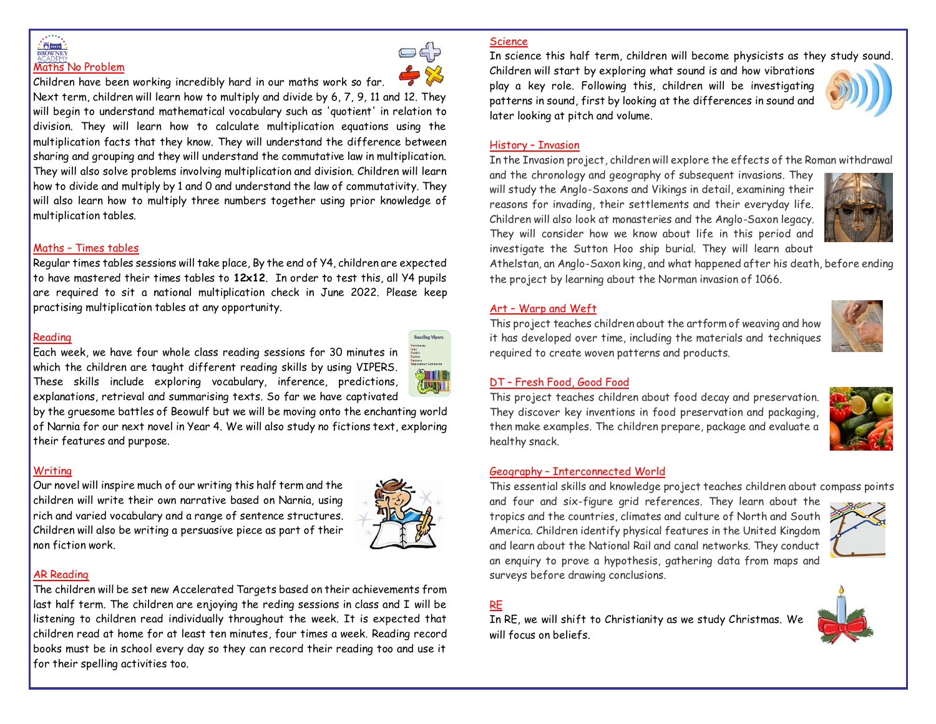# $\frac{1}{\text{BROWNEV}}$ Maths No Problem

Children have been working incredibly hard in our maths work so far. Next term, children will learn how to multiply and divide by 6, 7, 9, 11 and 12. They will begin to understand mathematical vocabulary such as 'quotient' in relation to division. They will learn how to calculate multiplication equations using the multiplication facts that they know. They will understand the difference between sharing and grouping and they will understand the commutative law in multiplication. They will also solve problems involving multiplication and division. Children will learn how to divide and multiply by 1 and 0 and understand the law of commutativity. They will also learn how to multiply three numbers together using prior knowledge of multiplication tables.

### Maths – Times tables

Regular times tables sessions will take place, By the end of Y4, children are expected to have mastered their times tables to **12x12**. In order to test this, all Y4 pupils are required to sit a national multiplication check in June 2022. Please keep practising multiplication tables at any opportunity.

## Reading

Each week, we have four whole class reading sessions for 30 minutes in which the children are taught different reading skills by using VIPERS. These skills include exploring vocabulary, inference, predictions, explanations, retrieval and summarising texts. So far we have captivated

by the gruesome battles of Beowulf but we will be moving onto the enchanting world of Narnia for our next novel in Year 4. We will also study no fictions text, exploring their features and purpose.

## **Writing**

Our novel will inspire much of our writing this half term and the children will write their own narrative based on Narnia, using rich and varied vocabulary and a range of sentence structures. Children will also be writing a persuasive piece as part of their non fiction work.



### AR Reading

The children will be set new Accelerated Targets based on their achievements from last half term. The children are enjoying the reding sessions in class and I will be listening to children read individually throughout the week. It is expected that children read at home for at least ten minutes, four times a week. Reading record books must be in school every day so they can record their reading too and use it for their spelling activities too.

## Science

 $\Box$ 

In science this half term, children will become physicists as they study sound.

Children will start by exploring what sound is and how vibrations play a key role. Following this, children will be investigating patterns in sound, first by looking at the differences in sound and later looking at pitch and volume.



## History – Invasion

In the Invasion project, children will explore the effects of the Roman withdrawal

and the chronology and geography of subsequent invasions. They will study the Anglo-Saxons and Vikings in detail, examining their reasons for invading, their settlements and their everyday life. Children will also look at monasteries and the Anglo-Saxon legacy. They will consider how we know about life in this period and investigate the Sutton Hoo ship burial. They will learn about



Athelstan, an Anglo-Saxon king, and what happened after his death, before ending the project by learning about the Norman invasion of 1066.

### Art – Warp and Weft

This project teaches children about the artform of weaving and how it has developed over time, including the materials and techniques required to create woven patterns and products.



## DT – Fresh Food, Good Food

This project teaches children about food decay and preservation. They discover key inventions in food preservation and packaging, then make examples. The children prepare, package and evaluate a healthy snack.



This essential skills and knowledge project teaches children about compass points

and four and six-figure grid references. They learn about the tropics and the countries, climates and culture of North and South America. Children identify physical features in the United Kingdom and learn about the National Rail and canal networks. They conduct an enquiry to prove a hypothesis, gathering data from maps and surveys before drawing conclusions.



# RE

In RE, we will shift to Christianity as we study Christmas. We will focus on beliefs.